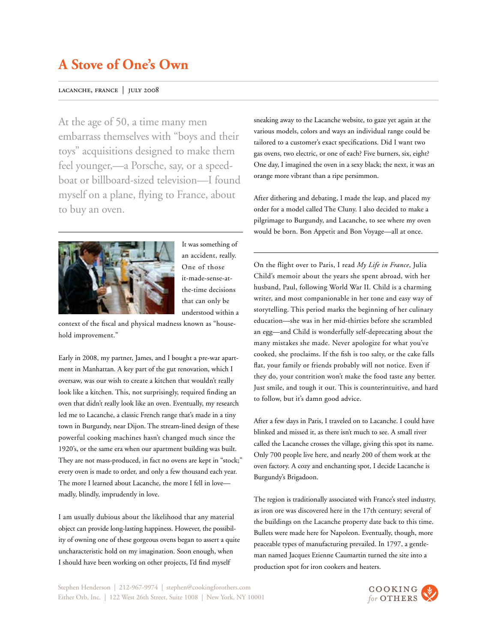### lacanche, france | july 2008

At the age of 50, a time many men embarrass themselves with "boys and their toys" acquisitions designed to make them feel younger,—a Porsche, say, or a speedboat or billboard-sized television—I found myself on a plane, flying to France, about to buy an oven.



It was something of an accident, really. One of those it-made-sense-atthe-time decisions that can only be understood within a

context of the fiscal and physical madness known as "household improvement."

Early in 2008, my partner, James, and I bought a pre-war apartment in Manhattan. A key part of the gut renovation, which I oversaw, was our wish to create a kitchen that wouldn't really look like a kitchen. This, not surprisingly, required finding an oven that didn't really look like an oven. Eventually, my research led me to Lacanche, a classic French range that's made in a tiny town in Burgundy, near Dijon. The stream-lined design of these powerful cooking machines hasn't changed much since the 1920's, or the same era when our apartment building was built. They are not mass-produced, in fact no ovens are kept in "stock;" every oven is made to order, and only a few thousand each year. The more I learned about Lacanche, the more I fell in love madly, blindly, imprudently in love.

I am usually dubious about the likelihood that any material object can provide long-lasting happiness. However, the possibility of owning one of these gorgeous ovens began to assert a quite uncharacteristic hold on my imagination. Soon enough, when I should have been working on other projects, I'd find myself

sneaking away to the Lacanche website, to gaze yet again at the various models, colors and ways an individual range could be tailored to a customer's exact specifications. Did I want two gas ovens, two electric, or one of each? Five burners, six, eight? One day, I imagined the oven in a sexy black; the next, it was an orange more vibrant than a ripe persimmon.

After dithering and debating, I made the leap, and placed my order for a model called The Cluny. I also decided to make a pilgrimage to Burgundy, and Lacanche, to see where my oven would be born. Bon Appetit and Bon Voyage—all at once.

On the flight over to Paris, I read *My Life in France*, Julia Child's memoir about the years she spent abroad, with her husband, Paul, following World War II. Child is a charming writer, and most companionable in her tone and easy way of storytelling. This period marks the beginning of her culinary education—she was in her mid-thirties before she scrambled an egg—and Child is wonderfully self-deprecating about the many mistakes she made. Never apologize for what you've cooked, she proclaims. If the fish is too salty, or the cake falls flat, your family or friends probably will not notice. Even if they do, your contrition won't make the food taste any better. Just smile, and tough it out. This is counterintuitive, and hard to follow, but it's damn good advice.

After a few days in Paris, I traveled on to Lacanche. I could have blinked and missed it, as there isn't much to see. A small river called the Lacanche crosses the village, giving this spot its name. Only 700 people live here, and nearly 200 of them work at the oven factory. A cozy and enchanting spot, I decide Lacanche is Burgundy's Brigadoon.

The region is traditionally associated with France's steel industry, as iron ore was discovered here in the 17th century; several of the buildings on the Lacanche property date back to this time. Bullets were made here for Napoleon. Eventually, though, more peaceable types of manufacturing prevailed. In 1797, a gentleman named Jacques Etienne Caumartin turned the site into a production spot for iron cookers and heaters.

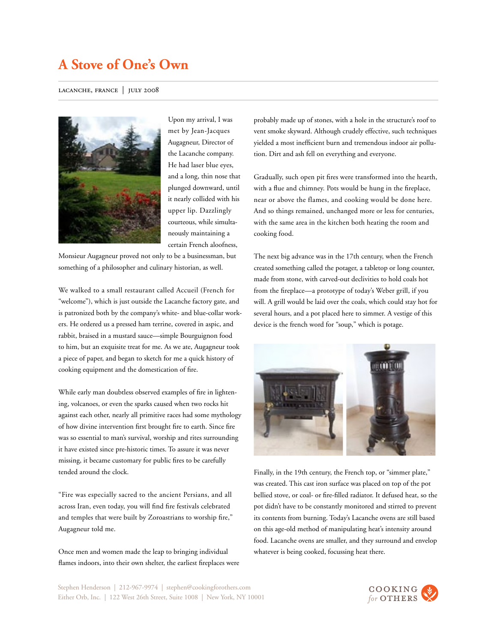### lacanche, france | july 2008



Upon my arrival, I was met by Jean-Jacques Augagneur, Director of the Lacanche company. He had laser blue eyes, and a long, thin nose that plunged downward, until it nearly collided with his upper lip. Dazzlingly courteous, while simultaneously maintaining a certain French aloofness,

Monsieur Augagneur proved not only to be a businessman, but something of a philosopher and culinary historian, as well.

We walked to a small restaurant called Accueil (French for "welcome"), which is just outside the Lacanche factory gate, and is patronized both by the company's white- and blue-collar workers. He ordered us a pressed ham terrine, covered in aspic, and rabbit, braised in a mustard sauce—simple Bourguignon food to him, but an exquisite treat for me. As we ate, Augagneur took a piece of paper, and began to sketch for me a quick history of cooking equipment and the domestication of fire.

While early man doubtless observed examples of fire in lightening, volcanoes, or even the sparks caused when two rocks hit against each other, nearly all primitive races had some mythology of how divine intervention first brought fire to earth. Since fire was so essential to man's survival, worship and rites surrounding it have existed since pre-historic times. To assure it was never missing, it became customary for public fires to be carefully tended around the clock.

"Fire was especially sacred to the ancient Persians, and all across Iran, even today, you will find fire festivals celebrated and temples that were built by Zoroastrians to worship fire," Augagneur told me.

Once men and women made the leap to bringing individual flames indoors, into their own shelter, the earliest fireplaces were probably made up of stones, with a hole in the structure's roof to vent smoke skyward. Although crudely effective, such techniques yielded a most inefficient burn and tremendous indoor air pollution. Dirt and ash fell on everything and everyone.

Gradually, such open pit fires were transformed into the hearth, with a flue and chimney. Pots would be hung in the fireplace, near or above the flames, and cooking would be done here. And so things remained, unchanged more or less for centuries, with the same area in the kitchen both heating the room and cooking food.

The next big advance was in the 17th century, when the French created something called the potager, a tabletop or long counter, made from stone, with carved-out declivities to hold coals hot from the fireplace—a prototype of today's Weber grill, if you will. A grill would be laid over the coals, which could stay hot for several hours, and a pot placed here to simmer. A vestige of this device is the french word for "soup," which is potage.



Finally, in the 19th century, the French top, or "simmer plate," was created. This cast iron surface was placed on top of the pot bellied stove, or coal- or fire-filled radiator. It defused heat, so the pot didn't have to be constantly monitored and stirred to prevent its contents from burning. Today's Lacanche ovens are still based on this age-old method of manipulating heat's intensity around food. Lacanche ovens are smaller, and they surround and envelop whatever is being cooked, focussing heat there.

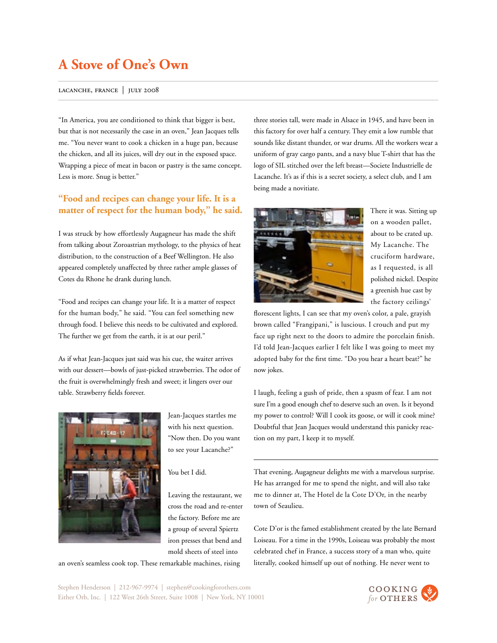#### lacanche, france | july 2008

"In America, you are conditioned to think that bigger is best, but that is not necessarily the case in an oven," Jean Jacques tells me. "You never want to cook a chicken in a huge pan, because the chicken, and all its juices, will dry out in the exposed space. Wrapping a piece of meat in bacon or pastry is the same concept. Less is more. Snug is better."

## **"Food and recipes can change your life. It is a matter of respect for the human body," he said.**

I was struck by how effortlessly Augagneur has made the shift from talking about Zoroastrian mythology, to the physics of heat distribution, to the construction of a Beef Wellington. He also appeared completely unaffected by three rather ample glasses of Cotes du Rhone he drank during lunch.

"Food and recipes can change your life. It is a matter of respect for the human body," he said. "You can feel something new through food. I believe this needs to be cultivated and explored. The further we get from the earth, it is at our peril."

As if what Jean-Jacques just said was his cue, the waiter arrives with our dessert—bowls of just-picked strawberries. The odor of the fruit is overwhelmingly fresh and sweet; it lingers over our table. Strawberry fields forever.



Jean-Jacques startles me with his next question. "Now then. Do you want to see your Lacanche?"

You bet I did.

Leaving the restaurant, we cross the road and re-enter the factory. Before me are a group of several Spiertz iron presses that bend and mold sheets of steel into

an oven's seamless cook top. These remarkable machines, rising

three stories tall, were made in Alsace in 1945, and have been in this factory for over half a century. They emit a low rumble that sounds like distant thunder, or war drums. All the workers wear a uniform of gray cargo pants, and a navy blue T-shirt that has the logo of SIL stitched over the left breast—Societe Industrielle de Lacanche. It's as if this is a secret society, a select club, and I am being made a novitiate.



There it was. Sitting up on a wooden pallet, about to be crated up. My Lacanche. The cruciform hardware, as I requested, is all polished nickel. Despite a greenish hue cast by the factory ceilings'

florescent lights, I can see that my oven's color, a pale, grayish brown called "Frangipani," is luscious. I crouch and put my face up right next to the doors to admire the porcelain finish. I'd told Jean-Jacques earlier I felt like I was going to meet my adopted baby for the first time. "Do you hear a heart beat?" he now jokes.

I laugh, feeling a gush of pride, then a spasm of fear. I am not sure I'm a good enough chef to deserve such an oven. Is it beyond my power to control? Will I cook its goose, or will it cook mine? Doubtful that Jean Jacques would understand this panicky reaction on my part, I keep it to myself.

That evening, Augagneur delights me with a marvelous surprise. He has arranged for me to spend the night, and will also take me to dinner at, The Hotel de la Cote D'Or, in the nearby town of Seaulieu.

Cote D'or is the famed establishment created by the late Bernard Loiseau. For a time in the 1990s, Loiseau was probably the most celebrated chef in France, a success story of a man who, quite literally, cooked himself up out of nothing. He never went to

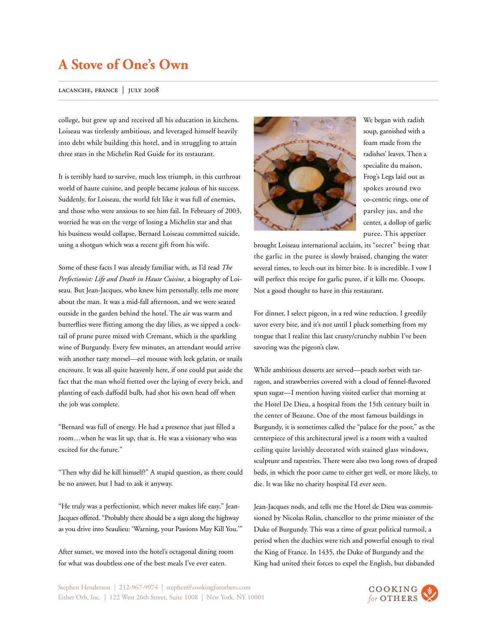### lacanche, france | july 2008

college, but grew up and received all his education in kitchens. Loiseau was tirelessly ambitious, and leveraged himself heavily into debt while building this hotel, and in struggling to attain three stars in the Michelin Red Guide for its restaurant.

It is terribly hard to survive, much less triumph, in this cutthroat world of haute cuisine, and people became jealous of his success. Suddenly, for Loiseau, the world felt like it was full of enemies, and those who were anxious to see him fail. In February of 2003, worried he was on the verge of losing a Michelin star and that his business would collapse, Bernard Loiseau committed suicide, using a shotgun which was a recent gift from his wife.

Some of these facts I was already familiar with, as I'd read *The Perfectionist: Life and Death in Haute Cuisine*, a biography of Loiseau. But Jean-Jacques, who knew him personally, tells me more about the man. It was a mid-fall afternoon, and we were seated outside in the garden behind the hotel. The air was warm and butterflies were flitting among the day lilies, as we sipped a cocktail of prune puree mixed with Cremant, which is the sparkling wine of Burgundy. Every few minutes, an attendant would arrive with another tasty morsel—eel mousse with leek gelatin, or snails encroute. It was all quite heavenly here, if one could put aside the fact that the man who'd fretted over the laying of every brick, and planting of each daffodil bulb, had shot his own head off when the job was complete.

"Bernard was full of energy. He had a presence that just filled a room…when he was lit up, that is. He was a visionary who was excited for the future."

"Then why did he kill himself?" A stupid question, as there could be no answer, but I had to ask it anyway.

"He truly was a perfectionist, which never makes life easy," Jean-Jacques offered. "Probably there should be a sign along the highway as you drive into Seaulieu: 'Warning, your Passions May Kill You.'"

After sunset, we moved into the hotel's octagonal dining room for what was doubtless one of the best meals I've ever eaten.



We began with radish soup, garnished with a foam made from the radishes' leaves. Then a specialite du maison, Frog's Legs laid out as spokes around two co-centric rings, one of parsley jus, and the center, a dollop of garlic puree. This appetizer

brought Loiseau international acclaim, its "secret" being that the garlic in the puree is slowly braised, changing the water several times, to leech out its bitter bite. It is incredible. I vow I will perfect this recipe for garlic puree, if it kills me. Oooops. Not a good thought to have in this restaurant.

For dinner, I select pigeon, in a red wine reduction. I greedily savor every bite, and it's not until I pluck something from my tongue that I realize this last crusty/crunchy nubbin I've been savoring was the pigeon's claw.

While ambitious desserts are served—peach sorbet with tarragon, and strawberries covered with a cloud of fennel-flavored spun sugar—I mention having visited earlier that morning at the Hotel De Dieu, a hospital from the 15th century built in the center of Beaune. One of the most famous buildings in Burgundy, it is sometimes called the "palace for the poor," as the centerpiece of this architectural jewel is a room with a vaulted ceiling quite lavishly decorated with stained glass windows, sculpture and tapestries. There were also two long rows of draped beds, in which the poor came to either get well, or more likely, to die. It was like no charity hospital I'd ever seen.

Jean-Jacques nods, and tells me the Hotel de Dieu was commissioned by Nicolas Rolin, chancellor to the prime minister of the Duke of Burgundy. This was a time of great political turmoil, a period when the duchies were rich and powerful enough to rival the King of France. In 1435, the Duke of Burgundy and the King had united their forces to expel the English, but disbanded